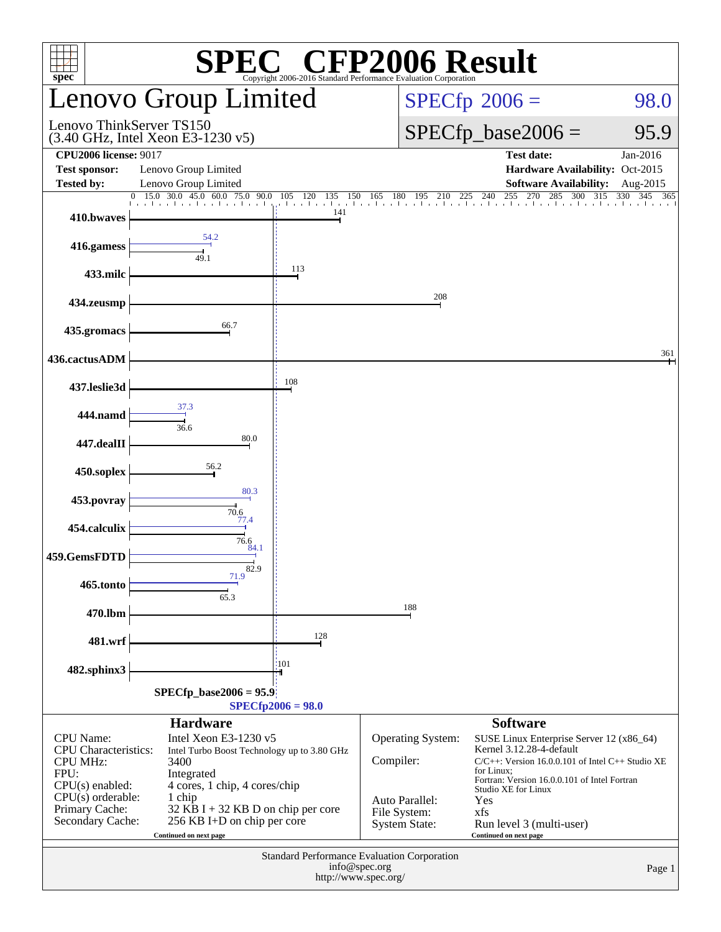| spec                                                                                                                                                                                                                                                                                                                                                                                                                    |                                                                                      |                                 | <b>SPEC<sup>®</sup></b> CFP2006 Result<br>Copyright 2006-2016 Standard Performance Evaluation Corporation |                                                                                                                                                                                                                                                                                                           |                      |  |  |
|-------------------------------------------------------------------------------------------------------------------------------------------------------------------------------------------------------------------------------------------------------------------------------------------------------------------------------------------------------------------------------------------------------------------------|--------------------------------------------------------------------------------------|---------------------------------|-----------------------------------------------------------------------------------------------------------|-----------------------------------------------------------------------------------------------------------------------------------------------------------------------------------------------------------------------------------------------------------------------------------------------------------|----------------------|--|--|
|                                                                                                                                                                                                                                                                                                                                                                                                                         | Lenovo Group Limited                                                                 |                                 |                                                                                                           | $SPECfp^{\circ}2006 =$                                                                                                                                                                                                                                                                                    | 98.0                 |  |  |
| Lenovo ThinkServer TS150<br>(3.40 GHz, Intel Xeon E3-1230 v5)                                                                                                                                                                                                                                                                                                                                                           |                                                                                      |                                 |                                                                                                           | $SPECfp\_base2006 =$                                                                                                                                                                                                                                                                                      | 95.9                 |  |  |
| <b>CPU2006 license: 9017</b><br><b>Test sponsor:</b><br><b>Tested by:</b>                                                                                                                                                                                                                                                                                                                                               | Lenovo Group Limited<br>Lenovo Group Limited                                         |                                 |                                                                                                           | <b>Test date:</b><br>Hardware Availability: Oct-2015<br><b>Software Availability:</b>                                                                                                                                                                                                                     | Jan-2016<br>Aug-2015 |  |  |
| $\Omega$<br>410.bwaves                                                                                                                                                                                                                                                                                                                                                                                                  | 15.0 30.0 45.0 60.0 75.0 90.0<br>المتحال والمتحالين المحالم والمحالم والمحالم والمنا | 150<br>105<br>120<br>135<br>141 | 225<br>180<br>195<br>165<br>210                                                                           | 255<br>240<br>270<br>285<br>300 315<br>The collection of the chief continuation of a chief in a final continuation                                                                                                                                                                                        | 330<br>345<br>365    |  |  |
| 416.gamess                                                                                                                                                                                                                                                                                                                                                                                                              | 54.2<br>49.1                                                                         |                                 |                                                                                                           |                                                                                                                                                                                                                                                                                                           |                      |  |  |
| 433.milc                                                                                                                                                                                                                                                                                                                                                                                                                |                                                                                      | 113                             |                                                                                                           |                                                                                                                                                                                                                                                                                                           |                      |  |  |
| 434.zeusmp                                                                                                                                                                                                                                                                                                                                                                                                              |                                                                                      |                                 | 208                                                                                                       |                                                                                                                                                                                                                                                                                                           |                      |  |  |
| 435.gromacs                                                                                                                                                                                                                                                                                                                                                                                                             | 66.7                                                                                 |                                 |                                                                                                           |                                                                                                                                                                                                                                                                                                           |                      |  |  |
| 436.cactusADM                                                                                                                                                                                                                                                                                                                                                                                                           |                                                                                      |                                 |                                                                                                           |                                                                                                                                                                                                                                                                                                           | 361                  |  |  |
| 437.leslie3d                                                                                                                                                                                                                                                                                                                                                                                                            | 37.3                                                                                 | 108                             |                                                                                                           |                                                                                                                                                                                                                                                                                                           |                      |  |  |
| 444.namd                                                                                                                                                                                                                                                                                                                                                                                                                | 36.6                                                                                 |                                 |                                                                                                           |                                                                                                                                                                                                                                                                                                           |                      |  |  |
| 447.dealII                                                                                                                                                                                                                                                                                                                                                                                                              | 80.0                                                                                 |                                 |                                                                                                           |                                                                                                                                                                                                                                                                                                           |                      |  |  |
| 450.soplex                                                                                                                                                                                                                                                                                                                                                                                                              | 56.2<br>80.3                                                                         |                                 |                                                                                                           |                                                                                                                                                                                                                                                                                                           |                      |  |  |
| 453.povray                                                                                                                                                                                                                                                                                                                                                                                                              | 70.6<br>77.4                                                                         |                                 |                                                                                                           |                                                                                                                                                                                                                                                                                                           |                      |  |  |
| 454.calculix                                                                                                                                                                                                                                                                                                                                                                                                            | 76.6<br>84.1                                                                         |                                 |                                                                                                           |                                                                                                                                                                                                                                                                                                           |                      |  |  |
| 459.GemsFDTD                                                                                                                                                                                                                                                                                                                                                                                                            | 82.9<br>71.9                                                                         |                                 |                                                                                                           |                                                                                                                                                                                                                                                                                                           |                      |  |  |
| 465.tonto                                                                                                                                                                                                                                                                                                                                                                                                               | 65.3                                                                                 |                                 | 188                                                                                                       |                                                                                                                                                                                                                                                                                                           |                      |  |  |
| 470.lbm                                                                                                                                                                                                                                                                                                                                                                                                                 |                                                                                      | 128                             |                                                                                                           |                                                                                                                                                                                                                                                                                                           |                      |  |  |
| 481.wrf                                                                                                                                                                                                                                                                                                                                                                                                                 |                                                                                      | :101                            |                                                                                                           |                                                                                                                                                                                                                                                                                                           |                      |  |  |
| 482.sphinx3<br>$SPECfp\_base2006 = 95.9$<br>$SPECfp2006 = 98.0$                                                                                                                                                                                                                                                                                                                                                         |                                                                                      |                                 |                                                                                                           |                                                                                                                                                                                                                                                                                                           |                      |  |  |
| <b>Hardware</b><br>Intel Xeon E3-1230 v5<br><b>CPU</b> Name:<br><b>CPU</b> Characteristics:<br>Intel Turbo Boost Technology up to 3.80 GHz<br><b>CPU MHz:</b><br>3400<br>FPU:<br>Integrated<br>CPU(s) enabled:<br>4 cores, 1 chip, 4 cores/chip<br>$CPU(s)$ orderable:<br>1 chip<br>Primary Cache:<br>$32$ KB I + 32 KB D on chip per core<br>Secondary Cache:<br>256 KB I+D on chip per core<br>Continued on next page |                                                                                      |                                 | Operating System:<br>Compiler:<br>Auto Parallel:<br>File System:<br><b>System State:</b>                  | <b>Software</b><br>SUSE Linux Enterprise Server 12 (x86_64)<br>Kernel 3.12.28-4-default<br>$C/C++$ : Version 16.0.0.101 of Intel $C++$ Studio XE<br>for Linux;<br>Fortran: Version 16.0.0.101 of Intel Fortran<br>Studio XE for Linux<br>Yes<br>xfs<br>Run level 3 (multi-user)<br>Continued on next page |                      |  |  |
| Standard Performance Evaluation Corporation<br>info@spec.org<br>Page 1<br>http://www.spec.org/                                                                                                                                                                                                                                                                                                                          |                                                                                      |                                 |                                                                                                           |                                                                                                                                                                                                                                                                                                           |                      |  |  |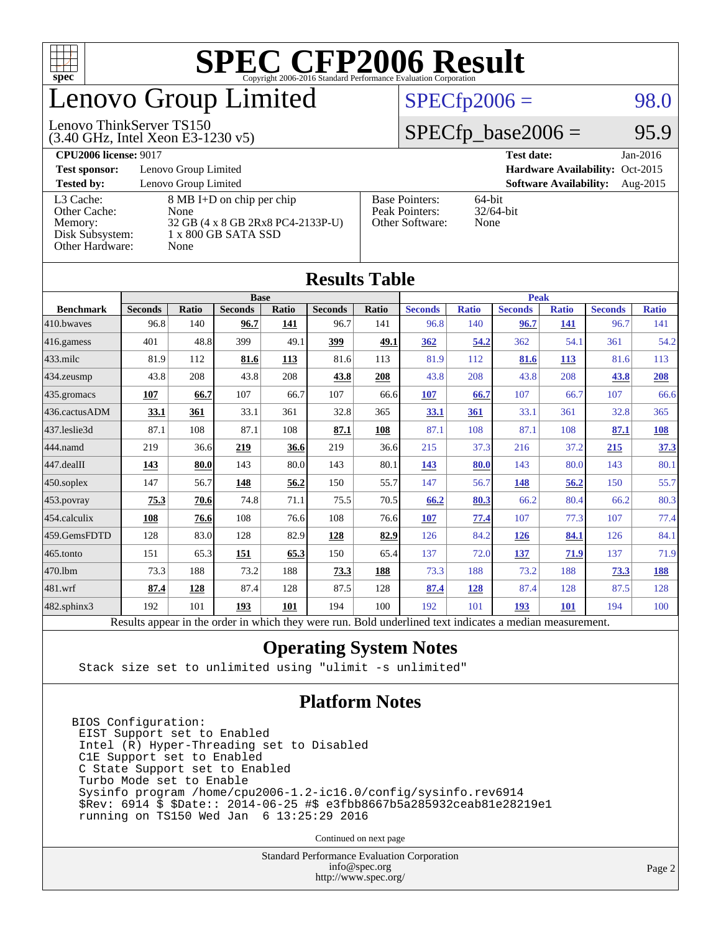

# enovo Group Limited

(3.40 GHz, Intel Xeon E3-1230 v5)

Lenovo ThinkServer TS150

#### $SPECTp2006 = 98.0$

#### $SPECfp\_base2006 = 95.9$

**[CPU2006 license:](http://www.spec.org/auto/cpu2006/Docs/result-fields.html#CPU2006license)** 9017 **[Test date:](http://www.spec.org/auto/cpu2006/Docs/result-fields.html#Testdate)** Jan-2016 **[Test sponsor:](http://www.spec.org/auto/cpu2006/Docs/result-fields.html#Testsponsor)** Lenovo Group Limited **[Hardware Availability:](http://www.spec.org/auto/cpu2006/Docs/result-fields.html#HardwareAvailability)** Oct-2015 **[Tested by:](http://www.spec.org/auto/cpu2006/Docs/result-fields.html#Testedby)** Lenovo Group Limited **[Software Availability:](http://www.spec.org/auto/cpu2006/Docs/result-fields.html#SoftwareAvailability)** Aug-2015 [L3 Cache:](http://www.spec.org/auto/cpu2006/Docs/result-fields.html#L3Cache) 8 MB I+D on chip per chip<br>Other Cache: None [Other Cache:](http://www.spec.org/auto/cpu2006/Docs/result-fields.html#OtherCache) [Memory:](http://www.spec.org/auto/cpu2006/Docs/result-fields.html#Memory) 32 GB (4 x 8 GB 2Rx8 PC4-2133P-U) [Disk Subsystem:](http://www.spec.org/auto/cpu2006/Docs/result-fields.html#DiskSubsystem) 1 x 800 GB SATA SSD [Other Hardware:](http://www.spec.org/auto/cpu2006/Docs/result-fields.html#OtherHardware) None [Base Pointers:](http://www.spec.org/auto/cpu2006/Docs/result-fields.html#BasePointers) 64-bit<br>Peak Pointers: 32/64-bit [Peak Pointers:](http://www.spec.org/auto/cpu2006/Docs/result-fields.html#PeakPointers) [Other Software:](http://www.spec.org/auto/cpu2006/Docs/result-fields.html#OtherSoftware) None

**[Results Table](http://www.spec.org/auto/cpu2006/Docs/result-fields.html#ResultsTable)**

|                   |                                                                                                          |              |                |       | Results Table  |       |                |              |                |              |                |              |
|-------------------|----------------------------------------------------------------------------------------------------------|--------------|----------------|-------|----------------|-------|----------------|--------------|----------------|--------------|----------------|--------------|
|                   |                                                                                                          |              | <b>Base</b>    |       |                |       |                |              | <b>Peak</b>    |              |                |              |
| <b>Benchmark</b>  | <b>Seconds</b>                                                                                           | <b>Ratio</b> | <b>Seconds</b> | Ratio | <b>Seconds</b> | Ratio | <b>Seconds</b> | <b>Ratio</b> | <b>Seconds</b> | <b>Ratio</b> | <b>Seconds</b> | <b>Ratio</b> |
| 410.bwayes        | 96.8                                                                                                     | 140          | 96.7           | 141   | 96.7           | 141   | 96.8           | 140          | 96.7           | 141          | 96.7           | 141          |
| $416$ .gamess     | 401                                                                                                      | 48.8         | 399            | 49.1  | 399            | 49.1  | 362            | 54.2         | 362            | 54.1         | 361            | 54.2         |
| $433$ .milc       | 81.9                                                                                                     | 112          | 81.6           | 113   | 81.6           | 113   | 81.9           | 112          | 81.6           | <b>113</b>   | 81.6           | 113          |
| $434$ . zeusmp    | 43.8                                                                                                     | 208          | 43.8           | 208   | 43.8           | 208   | 43.8           | 208          | 43.8           | 208          | 43.8           | 208          |
| 435.gromacs       | 107                                                                                                      | 66.7         | 107            | 66.7  | 107            | 66.6  | 107            | 66.7         | 107            | 66.7         | 107            | 66.6         |
| 436.cactusADM     | 33.1                                                                                                     | 361          | 33.1           | 361   | 32.8           | 365   | 33.1           | 361          | 33.1           | 361          | 32.8           | 365          |
| 437.leslie3d      | 87.1                                                                                                     | 108          | 87.1           | 108   | 87.1           | 108   | 87.1           | 108          | 87.1           | 108          | 87.1           | <b>108</b>   |
| 444.namd          | 219                                                                                                      | 36.6         | 219            | 36.6  | 219            | 36.6  | 215            | 37.3         | 216            | 37.2         | 215            | 37.3         |
| $447$ .dealII     | 143                                                                                                      | 80.0         | 143            | 80.0  | 143            | 80.1  | 143            | 80.0         | 143            | 80.0         | 143            | 80.1         |
| $450$ .soplex     | 147                                                                                                      | 56.7         | 148            | 56.2  | 150            | 55.7  | 147            | 56.7         | 148            | 56.2         | 150            | 55.7         |
| 453.povray        | 75.3                                                                                                     | 70.6         | 74.8           | 71.1  | 75.5           | 70.5  | 66.2           | 80.3         | 66.2           | 80.4         | 66.2           | 80.3         |
| 454.calculix      | 108                                                                                                      | 76.6         | 108            | 76.6  | 108            | 76.6  | 107            | 77.4         | 107            | 77.3         | 107            | 77.4         |
| 459.GemsFDTD      | 128                                                                                                      | 83.0         | 128            | 82.9  | 128            | 82.9  | 126            | 84.2         | 126            | 84.1         | 126            | 84.1         |
| 465.tonto         | 151                                                                                                      | 65.3         | <u>151</u>     | 65.3  | 150            | 65.4  | 137            | 72.0         | <u>137</u>     | 71.9         | 137            | 71.9         |
| 470.1bm           | 73.3                                                                                                     | 188          | 73.2           | 188   | 73.3           | 188   | 73.3           | 188          | 73.2           | 188          | 73.3           | 188          |
| 481.wrf           | 87.4                                                                                                     | 128          | 87.4           | 128   | 87.5           | 128   | 87.4           | <u>128</u>   | 87.4           | 128          | 87.5           | 128          |
| $482$ .sphinx $3$ | 192                                                                                                      | 101          | 193            | 101   | 194            | 100   | 192            | 101          | 193            | <b>101</b>   | 194            | 100          |
|                   | Results appear in the order in which they were run. Bold underlined text indicates a median measurement. |              |                |       |                |       |                |              |                |              |                |              |

#### **[Operating System Notes](http://www.spec.org/auto/cpu2006/Docs/result-fields.html#OperatingSystemNotes)**

Stack size set to unlimited using "ulimit -s unlimited"

#### **[Platform Notes](http://www.spec.org/auto/cpu2006/Docs/result-fields.html#PlatformNotes)**

BIOS Configuration: EIST Support set to Enabled Intel (R) Hyper-Threading set to Disabled C1E Support set to Enabled C State Support set to Enabled Turbo Mode set to Enable Sysinfo program /home/cpu2006-1.2-ic16.0/config/sysinfo.rev6914 \$Rev: 6914 \$ \$Date:: 2014-06-25 #\$ e3fbb8667b5a285932ceab81e28219e1 running on TS150 Wed Jan 6 13:25:29 2016

Continued on next page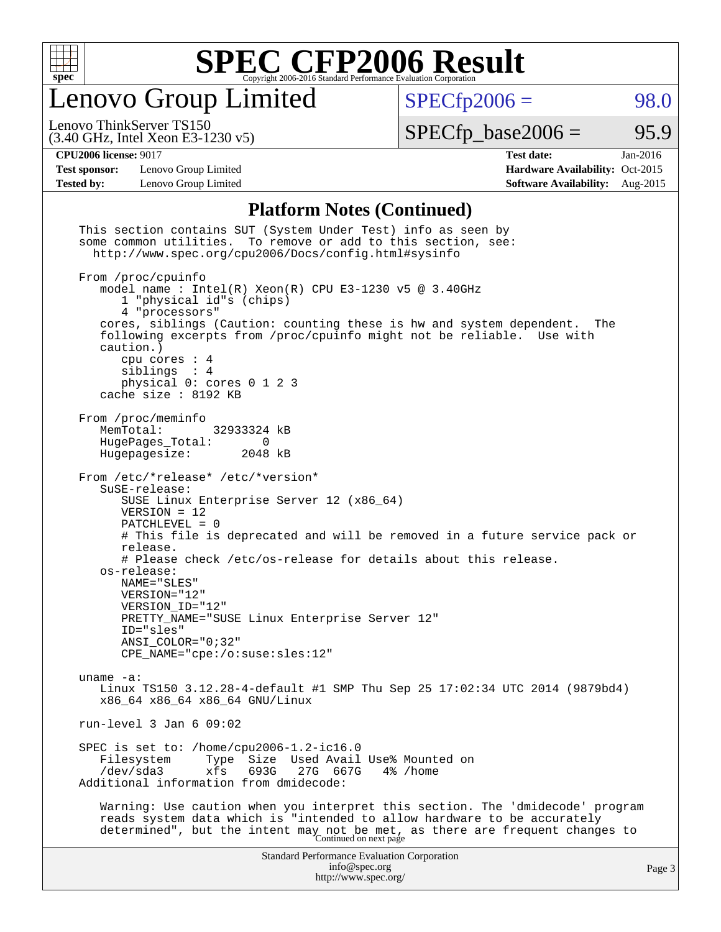

Lenovo Group Limited

 $SPECfp2006 = 98.0$  $SPECfp2006 = 98.0$ 

(3.40 GHz, Intel Xeon E3-1230 v5) Lenovo ThinkServer TS150

 $SPECTp\_base2006 = 95.9$ 

**[Test sponsor:](http://www.spec.org/auto/cpu2006/Docs/result-fields.html#Testsponsor)** Lenovo Group Limited **[Hardware Availability:](http://www.spec.org/auto/cpu2006/Docs/result-fields.html#HardwareAvailability)** Oct-2015

**[CPU2006 license:](http://www.spec.org/auto/cpu2006/Docs/result-fields.html#CPU2006license)** 9017 **[Test date:](http://www.spec.org/auto/cpu2006/Docs/result-fields.html#Testdate)** Jan-2016 **[Tested by:](http://www.spec.org/auto/cpu2006/Docs/result-fields.html#Testedby)** Lenovo Group Limited **[Software Availability:](http://www.spec.org/auto/cpu2006/Docs/result-fields.html#SoftwareAvailability)** Aug-2015

#### **[Platform Notes \(Continued\)](http://www.spec.org/auto/cpu2006/Docs/result-fields.html#PlatformNotes)**

| some common utilities. To remove or add to this section, see:<br>http://www.spec.org/cpu2006/Docs/config.html#sysinfo<br>From /proc/cpuinfo<br>model name: $Intel(R)$ Xeon(R) CPU E3-1230 v5 @ 3.40GHz<br>1 "physical id"s (chips)<br>4 "processors"<br>cores, siblings (Caution: counting these is hw and system dependent.<br>The<br>following excerpts from /proc/cpuinfo might not be reliable. Use with<br>caution.)<br>cpu cores $: 4$<br>siblings : 4<br>physical 0: cores 0 1 2 3<br>cache size : 8192 KB<br>From /proc/meminfo<br>MemTotal:<br>32933324 kB<br>HugePages_Total:<br>$\overline{0}$<br>Hugepagesize:<br>2048 kB<br>From /etc/*release* /etc/*version*<br>SuSE-release:<br>SUSE Linux Enterprise Server 12 (x86_64)<br>$VERSION = 12$<br>$PATCHLEVEL = 0$<br># This file is deprecated and will be removed in a future service pack or<br>release.<br># Please check /etc/os-release for details about this release.<br>os-release:<br>NAME="SLES"<br>VERSION="12"<br>VERSION ID="12"<br>PRETTY_NAME="SUSE Linux Enterprise Server 12"<br>ID="sles"<br>$ANSI\_COLOR = "0; 32"$<br>$CPE\_NAME='cpe://o:suse: sles:12"$<br>uname $-a$ :<br>Linux TS150 3.12.28-4-default #1 SMP Thu Sep 25 17:02:34 UTC 2014 (9879bd4)<br>x86 64 x86 64 x86 64 GNU/Linux<br>run-level $3$ Jan $6$ 09:02<br>SPEC is set to: /home/cpu2006-1.2-ic16.0<br>Size Used Avail Use% Mounted on<br>Filesystem<br>Type<br>693G<br>$/\text{dev/sda}$ 3<br>xfs<br>27G 667G<br>4% /home<br>Additional information from dmidecode:<br>Warning: Use caution when you interpret this section. The 'dmidecode' program<br>reads system data which is "intended to allow hardware to be accurately<br>determined", but the intent may not be met, as there are frequent changes to<br>Continued on next page | <b>Standard Performance Evaluation Corporation</b><br>info@spec.org<br>http://www.spec.org/ | Page 3 |
|-----------------------------------------------------------------------------------------------------------------------------------------------------------------------------------------------------------------------------------------------------------------------------------------------------------------------------------------------------------------------------------------------------------------------------------------------------------------------------------------------------------------------------------------------------------------------------------------------------------------------------------------------------------------------------------------------------------------------------------------------------------------------------------------------------------------------------------------------------------------------------------------------------------------------------------------------------------------------------------------------------------------------------------------------------------------------------------------------------------------------------------------------------------------------------------------------------------------------------------------------------------------------------------------------------------------------------------------------------------------------------------------------------------------------------------------------------------------------------------------------------------------------------------------------------------------------------------------------------------------------------------------------------------------------------------------------------------------------------------------------------------------------------------------------|---------------------------------------------------------------------------------------------|--------|
|                                                                                                                                                                                                                                                                                                                                                                                                                                                                                                                                                                                                                                                                                                                                                                                                                                                                                                                                                                                                                                                                                                                                                                                                                                                                                                                                                                                                                                                                                                                                                                                                                                                                                                                                                                                               |                                                                                             |        |
|                                                                                                                                                                                                                                                                                                                                                                                                                                                                                                                                                                                                                                                                                                                                                                                                                                                                                                                                                                                                                                                                                                                                                                                                                                                                                                                                                                                                                                                                                                                                                                                                                                                                                                                                                                                               |                                                                                             |        |
|                                                                                                                                                                                                                                                                                                                                                                                                                                                                                                                                                                                                                                                                                                                                                                                                                                                                                                                                                                                                                                                                                                                                                                                                                                                                                                                                                                                                                                                                                                                                                                                                                                                                                                                                                                                               |                                                                                             |        |
|                                                                                                                                                                                                                                                                                                                                                                                                                                                                                                                                                                                                                                                                                                                                                                                                                                                                                                                                                                                                                                                                                                                                                                                                                                                                                                                                                                                                                                                                                                                                                                                                                                                                                                                                                                                               |                                                                                             |        |
|                                                                                                                                                                                                                                                                                                                                                                                                                                                                                                                                                                                                                                                                                                                                                                                                                                                                                                                                                                                                                                                                                                                                                                                                                                                                                                                                                                                                                                                                                                                                                                                                                                                                                                                                                                                               |                                                                                             |        |
|                                                                                                                                                                                                                                                                                                                                                                                                                                                                                                                                                                                                                                                                                                                                                                                                                                                                                                                                                                                                                                                                                                                                                                                                                                                                                                                                                                                                                                                                                                                                                                                                                                                                                                                                                                                               |                                                                                             |        |
|                                                                                                                                                                                                                                                                                                                                                                                                                                                                                                                                                                                                                                                                                                                                                                                                                                                                                                                                                                                                                                                                                                                                                                                                                                                                                                                                                                                                                                                                                                                                                                                                                                                                                                                                                                                               |                                                                                             |        |
|                                                                                                                                                                                                                                                                                                                                                                                                                                                                                                                                                                                                                                                                                                                                                                                                                                                                                                                                                                                                                                                                                                                                                                                                                                                                                                                                                                                                                                                                                                                                                                                                                                                                                                                                                                                               |                                                                                             |        |
|                                                                                                                                                                                                                                                                                                                                                                                                                                                                                                                                                                                                                                                                                                                                                                                                                                                                                                                                                                                                                                                                                                                                                                                                                                                                                                                                                                                                                                                                                                                                                                                                                                                                                                                                                                                               |                                                                                             |        |
|                                                                                                                                                                                                                                                                                                                                                                                                                                                                                                                                                                                                                                                                                                                                                                                                                                                                                                                                                                                                                                                                                                                                                                                                                                                                                                                                                                                                                                                                                                                                                                                                                                                                                                                                                                                               | This section contains SUT (System Under Test) info as seen by                               |        |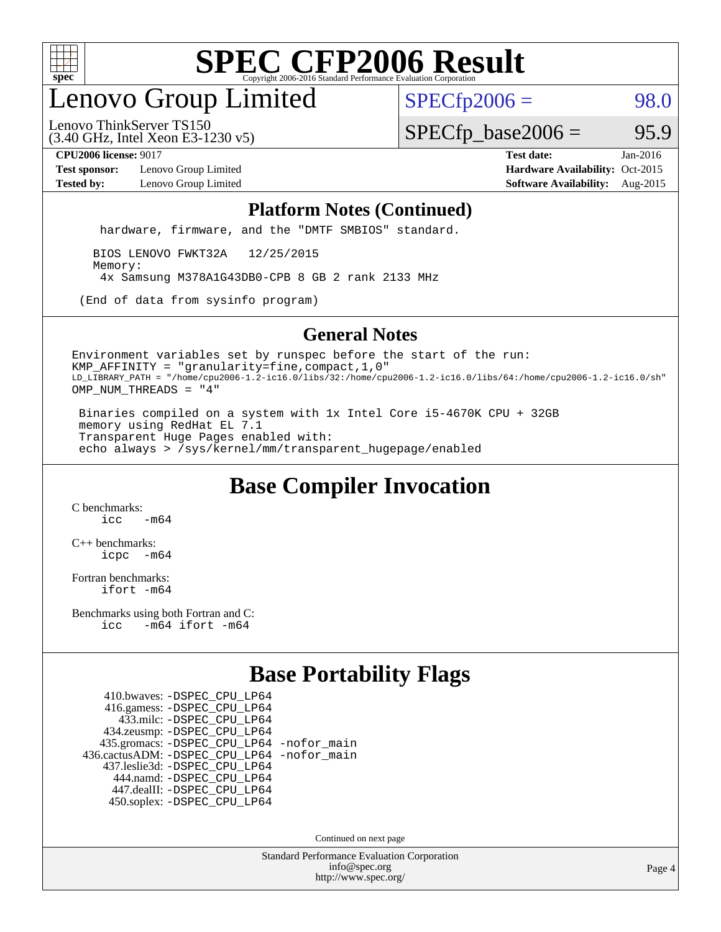

## enovo Group Limited

 $SPECfp2006 = 98.0$  $SPECfp2006 = 98.0$ 

(3.40 GHz, Intel Xeon E3-1230 v5) Lenovo ThinkServer TS150

 $SPECTp\_base2006 = 95.9$ 

**[Test sponsor:](http://www.spec.org/auto/cpu2006/Docs/result-fields.html#Testsponsor)** Lenovo Group Limited **[Hardware Availability:](http://www.spec.org/auto/cpu2006/Docs/result-fields.html#HardwareAvailability)** Oct-2015

**[CPU2006 license:](http://www.spec.org/auto/cpu2006/Docs/result-fields.html#CPU2006license)** 9017 **[Test date:](http://www.spec.org/auto/cpu2006/Docs/result-fields.html#Testdate)** Jan-2016 **[Tested by:](http://www.spec.org/auto/cpu2006/Docs/result-fields.html#Testedby)** Lenovo Group Limited **[Software Availability:](http://www.spec.org/auto/cpu2006/Docs/result-fields.html#SoftwareAvailability)** Aug-2015

#### **[Platform Notes \(Continued\)](http://www.spec.org/auto/cpu2006/Docs/result-fields.html#PlatformNotes)**

hardware, firmware, and the "DMTF SMBIOS" standard.

 BIOS LENOVO FWKT32A 12/25/2015 Memory: 4x Samsung M378A1G43DB0-CPB 8 GB 2 rank 2133 MHz

(End of data from sysinfo program)

#### **[General Notes](http://www.spec.org/auto/cpu2006/Docs/result-fields.html#GeneralNotes)**

Environment variables set by runspec before the start of the run: KMP\_AFFINITY = "granularity=fine,compact,1,0" LD\_LIBRARY\_PATH = "/home/cpu2006-1.2-ic16.0/libs/32:/home/cpu2006-1.2-ic16.0/libs/64:/home/cpu2006-1.2-ic16.0/sh" OMP\_NUM\_THREADS = "4"

 Binaries compiled on a system with 1x Intel Core i5-4670K CPU + 32GB memory using RedHat EL 7.1 Transparent Huge Pages enabled with: echo always > /sys/kernel/mm/transparent\_hugepage/enabled

### **[Base Compiler Invocation](http://www.spec.org/auto/cpu2006/Docs/result-fields.html#BaseCompilerInvocation)**

[C benchmarks](http://www.spec.org/auto/cpu2006/Docs/result-fields.html#Cbenchmarks):  $icc$   $-m64$ 

[C++ benchmarks:](http://www.spec.org/auto/cpu2006/Docs/result-fields.html#CXXbenchmarks) [icpc -m64](http://www.spec.org/cpu2006/results/res2016q1/cpu2006-20160125-38870.flags.html#user_CXXbase_intel_icpc_64bit_bedb90c1146cab66620883ef4f41a67e)

[Fortran benchmarks](http://www.spec.org/auto/cpu2006/Docs/result-fields.html#Fortranbenchmarks): [ifort -m64](http://www.spec.org/cpu2006/results/res2016q1/cpu2006-20160125-38870.flags.html#user_FCbase_intel_ifort_64bit_ee9d0fb25645d0210d97eb0527dcc06e)

[Benchmarks using both Fortran and C](http://www.spec.org/auto/cpu2006/Docs/result-fields.html#BenchmarksusingbothFortranandC): [icc -m64](http://www.spec.org/cpu2006/results/res2016q1/cpu2006-20160125-38870.flags.html#user_CC_FCbase_intel_icc_64bit_0b7121f5ab7cfabee23d88897260401c) [ifort -m64](http://www.spec.org/cpu2006/results/res2016q1/cpu2006-20160125-38870.flags.html#user_CC_FCbase_intel_ifort_64bit_ee9d0fb25645d0210d97eb0527dcc06e)

### **[Base Portability Flags](http://www.spec.org/auto/cpu2006/Docs/result-fields.html#BasePortabilityFlags)**

 410.bwaves: [-DSPEC\\_CPU\\_LP64](http://www.spec.org/cpu2006/results/res2016q1/cpu2006-20160125-38870.flags.html#suite_basePORTABILITY410_bwaves_DSPEC_CPU_LP64) 416.gamess: [-DSPEC\\_CPU\\_LP64](http://www.spec.org/cpu2006/results/res2016q1/cpu2006-20160125-38870.flags.html#suite_basePORTABILITY416_gamess_DSPEC_CPU_LP64) 433.milc: [-DSPEC\\_CPU\\_LP64](http://www.spec.org/cpu2006/results/res2016q1/cpu2006-20160125-38870.flags.html#suite_basePORTABILITY433_milc_DSPEC_CPU_LP64) 434.zeusmp: [-DSPEC\\_CPU\\_LP64](http://www.spec.org/cpu2006/results/res2016q1/cpu2006-20160125-38870.flags.html#suite_basePORTABILITY434_zeusmp_DSPEC_CPU_LP64) 435.gromacs: [-DSPEC\\_CPU\\_LP64](http://www.spec.org/cpu2006/results/res2016q1/cpu2006-20160125-38870.flags.html#suite_basePORTABILITY435_gromacs_DSPEC_CPU_LP64) [-nofor\\_main](http://www.spec.org/cpu2006/results/res2016q1/cpu2006-20160125-38870.flags.html#user_baseLDPORTABILITY435_gromacs_f-nofor_main) 436.cactusADM: [-DSPEC\\_CPU\\_LP64](http://www.spec.org/cpu2006/results/res2016q1/cpu2006-20160125-38870.flags.html#suite_basePORTABILITY436_cactusADM_DSPEC_CPU_LP64) [-nofor\\_main](http://www.spec.org/cpu2006/results/res2016q1/cpu2006-20160125-38870.flags.html#user_baseLDPORTABILITY436_cactusADM_f-nofor_main) 437.leslie3d: [-DSPEC\\_CPU\\_LP64](http://www.spec.org/cpu2006/results/res2016q1/cpu2006-20160125-38870.flags.html#suite_basePORTABILITY437_leslie3d_DSPEC_CPU_LP64) 444.namd: [-DSPEC\\_CPU\\_LP64](http://www.spec.org/cpu2006/results/res2016q1/cpu2006-20160125-38870.flags.html#suite_basePORTABILITY444_namd_DSPEC_CPU_LP64) 447.dealII: [-DSPEC\\_CPU\\_LP64](http://www.spec.org/cpu2006/results/res2016q1/cpu2006-20160125-38870.flags.html#suite_basePORTABILITY447_dealII_DSPEC_CPU_LP64) 450.soplex: [-DSPEC\\_CPU\\_LP64](http://www.spec.org/cpu2006/results/res2016q1/cpu2006-20160125-38870.flags.html#suite_basePORTABILITY450_soplex_DSPEC_CPU_LP64)

Continued on next page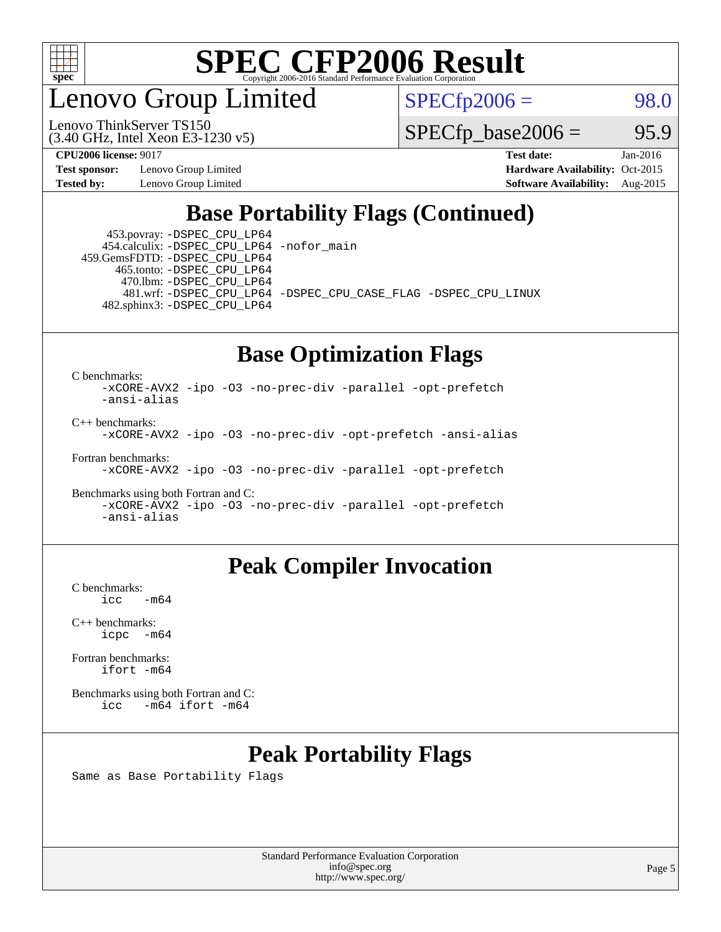

enovo Group Limited

Lenovo ThinkServer TS150

 $SPECfp2006 = 98.0$  $SPECfp2006 = 98.0$ 

 $SPECTp\_base2006 = 95.9$ 

**[Test sponsor:](http://www.spec.org/auto/cpu2006/Docs/result-fields.html#Testsponsor)** Lenovo Group Limited **[Hardware Availability:](http://www.spec.org/auto/cpu2006/Docs/result-fields.html#HardwareAvailability)** Oct-2015

(3.40 GHz, Intel Xeon E3-1230 v5)

**[CPU2006 license:](http://www.spec.org/auto/cpu2006/Docs/result-fields.html#CPU2006license)** 9017 **[Test date:](http://www.spec.org/auto/cpu2006/Docs/result-fields.html#Testdate)** Jan-2016 **[Tested by:](http://www.spec.org/auto/cpu2006/Docs/result-fields.html#Testedby)** Lenovo Group Limited **[Software Availability:](http://www.spec.org/auto/cpu2006/Docs/result-fields.html#SoftwareAvailability)** Aug-2015

### **[Base Portability Flags \(Continued\)](http://www.spec.org/auto/cpu2006/Docs/result-fields.html#BasePortabilityFlags)**

 453.povray: [-DSPEC\\_CPU\\_LP64](http://www.spec.org/cpu2006/results/res2016q1/cpu2006-20160125-38870.flags.html#suite_basePORTABILITY453_povray_DSPEC_CPU_LP64) 454.calculix: [-DSPEC\\_CPU\\_LP64](http://www.spec.org/cpu2006/results/res2016q1/cpu2006-20160125-38870.flags.html#suite_basePORTABILITY454_calculix_DSPEC_CPU_LP64) [-nofor\\_main](http://www.spec.org/cpu2006/results/res2016q1/cpu2006-20160125-38870.flags.html#user_baseLDPORTABILITY454_calculix_f-nofor_main) 459.GemsFDTD: [-DSPEC\\_CPU\\_LP64](http://www.spec.org/cpu2006/results/res2016q1/cpu2006-20160125-38870.flags.html#suite_basePORTABILITY459_GemsFDTD_DSPEC_CPU_LP64)

 465.tonto: [-DSPEC\\_CPU\\_LP64](http://www.spec.org/cpu2006/results/res2016q1/cpu2006-20160125-38870.flags.html#suite_basePORTABILITY465_tonto_DSPEC_CPU_LP64) 470.lbm: [-DSPEC\\_CPU\\_LP64](http://www.spec.org/cpu2006/results/res2016q1/cpu2006-20160125-38870.flags.html#suite_basePORTABILITY470_lbm_DSPEC_CPU_LP64) 482.sphinx3: [-DSPEC\\_CPU\\_LP64](http://www.spec.org/cpu2006/results/res2016q1/cpu2006-20160125-38870.flags.html#suite_basePORTABILITY482_sphinx3_DSPEC_CPU_LP64)

481.wrf: [-DSPEC\\_CPU\\_LP64](http://www.spec.org/cpu2006/results/res2016q1/cpu2006-20160125-38870.flags.html#suite_basePORTABILITY481_wrf_DSPEC_CPU_LP64) [-DSPEC\\_CPU\\_CASE\\_FLAG](http://www.spec.org/cpu2006/results/res2016q1/cpu2006-20160125-38870.flags.html#b481.wrf_baseCPORTABILITY_DSPEC_CPU_CASE_FLAG) [-DSPEC\\_CPU\\_LINUX](http://www.spec.org/cpu2006/results/res2016q1/cpu2006-20160125-38870.flags.html#b481.wrf_baseCPORTABILITY_DSPEC_CPU_LINUX)

#### **[Base Optimization Flags](http://www.spec.org/auto/cpu2006/Docs/result-fields.html#BaseOptimizationFlags)**

[C benchmarks](http://www.spec.org/auto/cpu2006/Docs/result-fields.html#Cbenchmarks):

[-xCORE-AVX2](http://www.spec.org/cpu2006/results/res2016q1/cpu2006-20160125-38870.flags.html#user_CCbase_f-xAVX2_5f5fc0cbe2c9f62c816d3e45806c70d7) [-ipo](http://www.spec.org/cpu2006/results/res2016q1/cpu2006-20160125-38870.flags.html#user_CCbase_f-ipo) [-O3](http://www.spec.org/cpu2006/results/res2016q1/cpu2006-20160125-38870.flags.html#user_CCbase_f-O3) [-no-prec-div](http://www.spec.org/cpu2006/results/res2016q1/cpu2006-20160125-38870.flags.html#user_CCbase_f-no-prec-div) [-parallel](http://www.spec.org/cpu2006/results/res2016q1/cpu2006-20160125-38870.flags.html#user_CCbase_f-parallel) [-opt-prefetch](http://www.spec.org/cpu2006/results/res2016q1/cpu2006-20160125-38870.flags.html#user_CCbase_f-opt-prefetch) [-ansi-alias](http://www.spec.org/cpu2006/results/res2016q1/cpu2006-20160125-38870.flags.html#user_CCbase_f-ansi-alias)

[C++ benchmarks:](http://www.spec.org/auto/cpu2006/Docs/result-fields.html#CXXbenchmarks)

[-xCORE-AVX2](http://www.spec.org/cpu2006/results/res2016q1/cpu2006-20160125-38870.flags.html#user_CXXbase_f-xAVX2_5f5fc0cbe2c9f62c816d3e45806c70d7) [-ipo](http://www.spec.org/cpu2006/results/res2016q1/cpu2006-20160125-38870.flags.html#user_CXXbase_f-ipo) [-O3](http://www.spec.org/cpu2006/results/res2016q1/cpu2006-20160125-38870.flags.html#user_CXXbase_f-O3) [-no-prec-div](http://www.spec.org/cpu2006/results/res2016q1/cpu2006-20160125-38870.flags.html#user_CXXbase_f-no-prec-div) [-opt-prefetch](http://www.spec.org/cpu2006/results/res2016q1/cpu2006-20160125-38870.flags.html#user_CXXbase_f-opt-prefetch) [-ansi-alias](http://www.spec.org/cpu2006/results/res2016q1/cpu2006-20160125-38870.flags.html#user_CXXbase_f-ansi-alias)

[Fortran benchmarks](http://www.spec.org/auto/cpu2006/Docs/result-fields.html#Fortranbenchmarks):

[-xCORE-AVX2](http://www.spec.org/cpu2006/results/res2016q1/cpu2006-20160125-38870.flags.html#user_FCbase_f-xAVX2_5f5fc0cbe2c9f62c816d3e45806c70d7) [-ipo](http://www.spec.org/cpu2006/results/res2016q1/cpu2006-20160125-38870.flags.html#user_FCbase_f-ipo) [-O3](http://www.spec.org/cpu2006/results/res2016q1/cpu2006-20160125-38870.flags.html#user_FCbase_f-O3) [-no-prec-div](http://www.spec.org/cpu2006/results/res2016q1/cpu2006-20160125-38870.flags.html#user_FCbase_f-no-prec-div) [-parallel](http://www.spec.org/cpu2006/results/res2016q1/cpu2006-20160125-38870.flags.html#user_FCbase_f-parallel) [-opt-prefetch](http://www.spec.org/cpu2006/results/res2016q1/cpu2006-20160125-38870.flags.html#user_FCbase_f-opt-prefetch)

[Benchmarks using both Fortran and C](http://www.spec.org/auto/cpu2006/Docs/result-fields.html#BenchmarksusingbothFortranandC): [-xCORE-AVX2](http://www.spec.org/cpu2006/results/res2016q1/cpu2006-20160125-38870.flags.html#user_CC_FCbase_f-xAVX2_5f5fc0cbe2c9f62c816d3e45806c70d7) [-ipo](http://www.spec.org/cpu2006/results/res2016q1/cpu2006-20160125-38870.flags.html#user_CC_FCbase_f-ipo) [-O3](http://www.spec.org/cpu2006/results/res2016q1/cpu2006-20160125-38870.flags.html#user_CC_FCbase_f-O3) [-no-prec-div](http://www.spec.org/cpu2006/results/res2016q1/cpu2006-20160125-38870.flags.html#user_CC_FCbase_f-no-prec-div) [-parallel](http://www.spec.org/cpu2006/results/res2016q1/cpu2006-20160125-38870.flags.html#user_CC_FCbase_f-parallel) [-opt-prefetch](http://www.spec.org/cpu2006/results/res2016q1/cpu2006-20160125-38870.flags.html#user_CC_FCbase_f-opt-prefetch) [-ansi-alias](http://www.spec.org/cpu2006/results/res2016q1/cpu2006-20160125-38870.flags.html#user_CC_FCbase_f-ansi-alias)

### **[Peak Compiler Invocation](http://www.spec.org/auto/cpu2006/Docs/result-fields.html#PeakCompilerInvocation)**

[C benchmarks](http://www.spec.org/auto/cpu2006/Docs/result-fields.html#Cbenchmarks):  $-m64$ 

[C++ benchmarks:](http://www.spec.org/auto/cpu2006/Docs/result-fields.html#CXXbenchmarks) [icpc -m64](http://www.spec.org/cpu2006/results/res2016q1/cpu2006-20160125-38870.flags.html#user_CXXpeak_intel_icpc_64bit_bedb90c1146cab66620883ef4f41a67e)

[Fortran benchmarks](http://www.spec.org/auto/cpu2006/Docs/result-fields.html#Fortranbenchmarks): [ifort -m64](http://www.spec.org/cpu2006/results/res2016q1/cpu2006-20160125-38870.flags.html#user_FCpeak_intel_ifort_64bit_ee9d0fb25645d0210d97eb0527dcc06e)

[Benchmarks using both Fortran and C](http://www.spec.org/auto/cpu2006/Docs/result-fields.html#BenchmarksusingbothFortranandC): [icc -m64](http://www.spec.org/cpu2006/results/res2016q1/cpu2006-20160125-38870.flags.html#user_CC_FCpeak_intel_icc_64bit_0b7121f5ab7cfabee23d88897260401c) [ifort -m64](http://www.spec.org/cpu2006/results/res2016q1/cpu2006-20160125-38870.flags.html#user_CC_FCpeak_intel_ifort_64bit_ee9d0fb25645d0210d97eb0527dcc06e)

## **[Peak Portability Flags](http://www.spec.org/auto/cpu2006/Docs/result-fields.html#PeakPortabilityFlags)**

Same as Base Portability Flags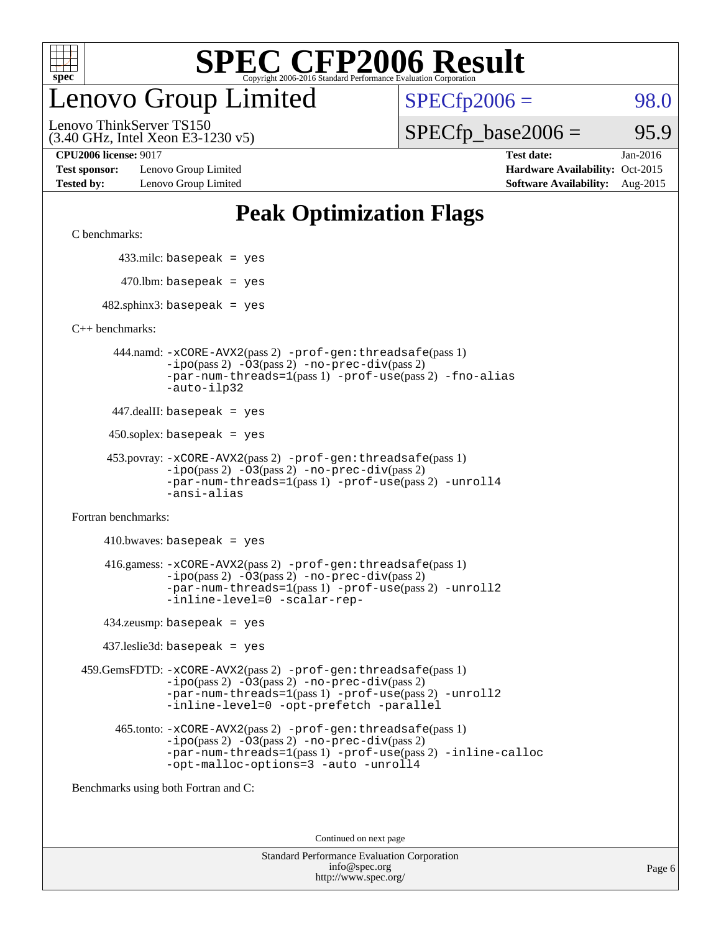

## enovo Group Limited

 $SPECTp2006 = 98.0$ 

(3.40 GHz, Intel Xeon E3-1230 v5) Lenovo ThinkServer TS150

 $SPECTp\_base2006 = 95.9$ 

**[Test sponsor:](http://www.spec.org/auto/cpu2006/Docs/result-fields.html#Testsponsor)** Lenovo Group Limited **[Hardware Availability:](http://www.spec.org/auto/cpu2006/Docs/result-fields.html#HardwareAvailability)** Oct-2015

**[CPU2006 license:](http://www.spec.org/auto/cpu2006/Docs/result-fields.html#CPU2006license)** 9017 **[Test date:](http://www.spec.org/auto/cpu2006/Docs/result-fields.html#Testdate)** Jan-2016 **[Tested by:](http://www.spec.org/auto/cpu2006/Docs/result-fields.html#Testedby)** Lenovo Group Limited **[Software Availability:](http://www.spec.org/auto/cpu2006/Docs/result-fields.html#SoftwareAvailability)** Aug-2015

### **[Peak Optimization Flags](http://www.spec.org/auto/cpu2006/Docs/result-fields.html#PeakOptimizationFlags)**

[C benchmarks](http://www.spec.org/auto/cpu2006/Docs/result-fields.html#Cbenchmarks):

433.milc: basepeak = yes

 $470.$ lbm: basepeak = yes

 $482$ .sphinx3: basepeak = yes

[C++ benchmarks:](http://www.spec.org/auto/cpu2006/Docs/result-fields.html#CXXbenchmarks)

 444.namd: [-xCORE-AVX2](http://www.spec.org/cpu2006/results/res2016q1/cpu2006-20160125-38870.flags.html#user_peakPASS2_CXXFLAGSPASS2_LDFLAGS444_namd_f-xAVX2_5f5fc0cbe2c9f62c816d3e45806c70d7)(pass 2) [-prof-gen:threadsafe](http://www.spec.org/cpu2006/results/res2016q1/cpu2006-20160125-38870.flags.html#user_peakPASS1_CXXFLAGSPASS1_LDFLAGS444_namd_prof_gen_21a26eb79f378b550acd7bec9fe4467a)(pass 1) [-ipo](http://www.spec.org/cpu2006/results/res2016q1/cpu2006-20160125-38870.flags.html#user_peakPASS2_CXXFLAGSPASS2_LDFLAGS444_namd_f-ipo)(pass 2) [-O3](http://www.spec.org/cpu2006/results/res2016q1/cpu2006-20160125-38870.flags.html#user_peakPASS2_CXXFLAGSPASS2_LDFLAGS444_namd_f-O3)(pass 2) [-no-prec-div](http://www.spec.org/cpu2006/results/res2016q1/cpu2006-20160125-38870.flags.html#user_peakPASS2_CXXFLAGSPASS2_LDFLAGS444_namd_f-no-prec-div)(pass 2) [-par-num-threads=1](http://www.spec.org/cpu2006/results/res2016q1/cpu2006-20160125-38870.flags.html#user_peakPASS1_CXXFLAGSPASS1_LDFLAGS444_namd_par_num_threads_786a6ff141b4e9e90432e998842df6c2)(pass 1) [-prof-use](http://www.spec.org/cpu2006/results/res2016q1/cpu2006-20160125-38870.flags.html#user_peakPASS2_CXXFLAGSPASS2_LDFLAGS444_namd_prof_use_bccf7792157ff70d64e32fe3e1250b55)(pass 2) [-fno-alias](http://www.spec.org/cpu2006/results/res2016q1/cpu2006-20160125-38870.flags.html#user_peakCXXOPTIMIZEOPTIMIZE444_namd_f-no-alias_694e77f6c5a51e658e82ccff53a9e63a) [-auto-ilp32](http://www.spec.org/cpu2006/results/res2016q1/cpu2006-20160125-38870.flags.html#user_peakCXXOPTIMIZE444_namd_f-auto-ilp32)

447.dealII: basepeak = yes

 $450$ .soplex: basepeak = yes

```
 453.povray: -xCORE-AVX2(pass 2) -prof-gen:threadsafe(pass 1)
-ipo(pass 2) -O3(pass 2) -no-prec-div(pass 2)
-par-num-threads=1(pass 1) -prof-use(pass 2) -unroll4
-ansi-alias
```
[Fortran benchmarks](http://www.spec.org/auto/cpu2006/Docs/result-fields.html#Fortranbenchmarks):

 $410.bwaves: basepeak = yes$  416.gamess: [-xCORE-AVX2](http://www.spec.org/cpu2006/results/res2016q1/cpu2006-20160125-38870.flags.html#user_peakPASS2_FFLAGSPASS2_LDFLAGS416_gamess_f-xAVX2_5f5fc0cbe2c9f62c816d3e45806c70d7)(pass 2) [-prof-gen:threadsafe](http://www.spec.org/cpu2006/results/res2016q1/cpu2006-20160125-38870.flags.html#user_peakPASS1_FFLAGSPASS1_LDFLAGS416_gamess_prof_gen_21a26eb79f378b550acd7bec9fe4467a)(pass 1)  $-i\text{po}(pass 2) -\text{O3}(pass 2)$  [-no-prec-div](http://www.spec.org/cpu2006/results/res2016q1/cpu2006-20160125-38870.flags.html#user_peakPASS2_FFLAGSPASS2_LDFLAGS416_gamess_f-no-prec-div)(pass 2) [-par-num-threads=1](http://www.spec.org/cpu2006/results/res2016q1/cpu2006-20160125-38870.flags.html#user_peakPASS1_FFLAGSPASS1_LDFLAGS416_gamess_par_num_threads_786a6ff141b4e9e90432e998842df6c2)(pass 1) [-prof-use](http://www.spec.org/cpu2006/results/res2016q1/cpu2006-20160125-38870.flags.html#user_peakPASS2_FFLAGSPASS2_LDFLAGS416_gamess_prof_use_bccf7792157ff70d64e32fe3e1250b55)(pass 2) [-unroll2](http://www.spec.org/cpu2006/results/res2016q1/cpu2006-20160125-38870.flags.html#user_peakOPTIMIZE416_gamess_f-unroll_784dae83bebfb236979b41d2422d7ec2) [-inline-level=0](http://www.spec.org/cpu2006/results/res2016q1/cpu2006-20160125-38870.flags.html#user_peakOPTIMIZE416_gamess_f-inline-level_318d07a09274ad25e8d15dbfaa68ba50) [-scalar-rep-](http://www.spec.org/cpu2006/results/res2016q1/cpu2006-20160125-38870.flags.html#user_peakOPTIMIZE416_gamess_f-disablescalarrep_abbcad04450fb118e4809c81d83c8a1d)

434.zeusmp: basepeak = yes

437.leslie3d: basepeak = yes

 459.GemsFDTD: [-xCORE-AVX2](http://www.spec.org/cpu2006/results/res2016q1/cpu2006-20160125-38870.flags.html#user_peakPASS2_FFLAGSPASS2_LDFLAGS459_GemsFDTD_f-xAVX2_5f5fc0cbe2c9f62c816d3e45806c70d7)(pass 2) [-prof-gen:threadsafe](http://www.spec.org/cpu2006/results/res2016q1/cpu2006-20160125-38870.flags.html#user_peakPASS1_FFLAGSPASS1_LDFLAGS459_GemsFDTD_prof_gen_21a26eb79f378b550acd7bec9fe4467a)(pass 1)  $-i\text{po}(pass 2) -03(pass 2) -no-prec-div(pass 2)$  $-i\text{po}(pass 2) -03(pass 2) -no-prec-div(pass 2)$  $-i\text{po}(pass 2) -03(pass 2) -no-prec-div(pass 2)$ [-par-num-threads=1](http://www.spec.org/cpu2006/results/res2016q1/cpu2006-20160125-38870.flags.html#user_peakPASS1_FFLAGSPASS1_LDFLAGS459_GemsFDTD_par_num_threads_786a6ff141b4e9e90432e998842df6c2)(pass 1) [-prof-use](http://www.spec.org/cpu2006/results/res2016q1/cpu2006-20160125-38870.flags.html#user_peakPASS2_FFLAGSPASS2_LDFLAGS459_GemsFDTD_prof_use_bccf7792157ff70d64e32fe3e1250b55)(pass 2) [-unroll2](http://www.spec.org/cpu2006/results/res2016q1/cpu2006-20160125-38870.flags.html#user_peakOPTIMIZE459_GemsFDTD_f-unroll_784dae83bebfb236979b41d2422d7ec2) [-inline-level=0](http://www.spec.org/cpu2006/results/res2016q1/cpu2006-20160125-38870.flags.html#user_peakOPTIMIZE459_GemsFDTD_f-inline-level_318d07a09274ad25e8d15dbfaa68ba50) [-opt-prefetch](http://www.spec.org/cpu2006/results/res2016q1/cpu2006-20160125-38870.flags.html#user_peakOPTIMIZE459_GemsFDTD_f-opt-prefetch) [-parallel](http://www.spec.org/cpu2006/results/res2016q1/cpu2006-20160125-38870.flags.html#user_peakOPTIMIZE459_GemsFDTD_f-parallel)

 465.tonto: [-xCORE-AVX2](http://www.spec.org/cpu2006/results/res2016q1/cpu2006-20160125-38870.flags.html#user_peakPASS2_FFLAGSPASS2_LDFLAGS465_tonto_f-xAVX2_5f5fc0cbe2c9f62c816d3e45806c70d7)(pass 2) [-prof-gen:threadsafe](http://www.spec.org/cpu2006/results/res2016q1/cpu2006-20160125-38870.flags.html#user_peakPASS1_FFLAGSPASS1_LDFLAGS465_tonto_prof_gen_21a26eb79f378b550acd7bec9fe4467a)(pass 1)  $-i\text{po}(pass 2)$   $-03(pass 2)$   $-no-prec-div(pass 2)$  $-no-prec-div(pass 2)$ [-par-num-threads=1](http://www.spec.org/cpu2006/results/res2016q1/cpu2006-20160125-38870.flags.html#user_peakPASS1_FFLAGSPASS1_LDFLAGS465_tonto_par_num_threads_786a6ff141b4e9e90432e998842df6c2)(pass 1) [-prof-use](http://www.spec.org/cpu2006/results/res2016q1/cpu2006-20160125-38870.flags.html#user_peakPASS2_FFLAGSPASS2_LDFLAGS465_tonto_prof_use_bccf7792157ff70d64e32fe3e1250b55)(pass 2) [-inline-calloc](http://www.spec.org/cpu2006/results/res2016q1/cpu2006-20160125-38870.flags.html#user_peakOPTIMIZE465_tonto_f-inline-calloc) [-opt-malloc-options=3](http://www.spec.org/cpu2006/results/res2016q1/cpu2006-20160125-38870.flags.html#user_peakOPTIMIZE465_tonto_f-opt-malloc-options_13ab9b803cf986b4ee62f0a5998c2238) [-auto](http://www.spec.org/cpu2006/results/res2016q1/cpu2006-20160125-38870.flags.html#user_peakOPTIMIZE465_tonto_f-auto) [-unroll4](http://www.spec.org/cpu2006/results/res2016q1/cpu2006-20160125-38870.flags.html#user_peakOPTIMIZE465_tonto_f-unroll_4e5e4ed65b7fd20bdcd365bec371b81f)

[Benchmarks using both Fortran and C](http://www.spec.org/auto/cpu2006/Docs/result-fields.html#BenchmarksusingbothFortranandC):

Continued on next page